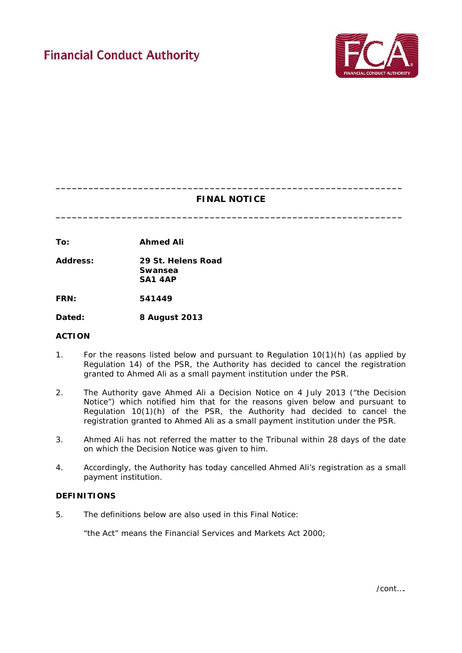

# **\_\_\_\_\_\_\_\_\_\_\_\_\_\_\_\_\_\_\_\_\_\_\_\_\_\_\_\_\_\_\_\_\_\_\_\_\_\_\_\_\_\_\_\_\_\_\_\_\_\_\_\_\_\_\_\_\_\_\_\_\_\_\_ FINAL NOTICE**

**\_\_\_\_\_\_\_\_\_\_\_\_\_\_\_\_\_\_\_\_\_\_\_\_\_\_\_\_\_\_\_\_\_\_\_\_\_\_\_\_\_\_\_\_\_\_\_\_\_\_\_\_\_\_\_\_\_\_\_\_\_\_\_**

**To: Ahmed Ali**

**Address: 29 St. Helens Road Swansea SA1 4AP**

**FRN: 541449**

**Dated: 8 August 2013** 

## **ACTION**

- 1. For the reasons listed below and pursuant to Regulation 10(1)(h) (as applied by Regulation 14) of the PSR, the Authority has decided to cancel the registration granted to Ahmed Ali as a small payment institution under the PSR.
- 2. The Authority gave Ahmed Ali a Decision Notice on 4 July 2013 ("the Decision Notice") which notified him that for the reasons given below and pursuant to Regulation 10(1)(h) of the PSR, the Authority had decided to cancel the registration granted to Ahmed Ali as a small payment institution under the PSR.
- 3. Ahmed Ali has not referred the matter to the Tribunal within 28 days of the date on which the Decision Notice was given to him.
- 4. Accordingly, the Authority has today cancelled Ahmed Ali's registration as a small payment institution.

#### **DEFINITIONS**

5. The definitions below are also used in this Final Notice:

"the Act" means the Financial Services and Markets Act 2000;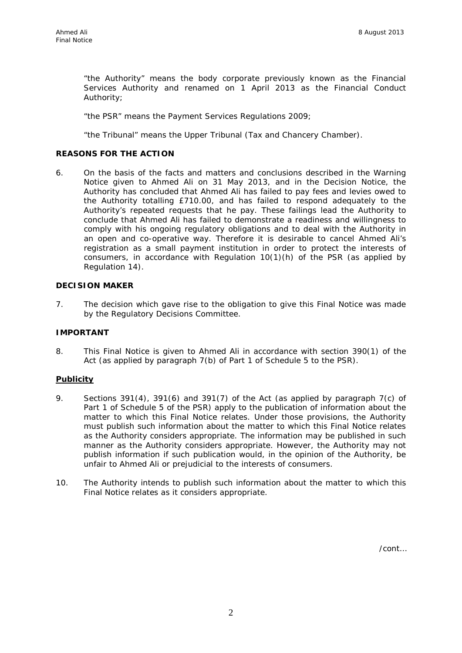"the Authority" means the body corporate previously known as the Financial Services Authority and renamed on 1 April 2013 as the Financial Conduct Authority;

"the PSR" means the Payment Services Regulations 2009;

"the Tribunal" means the Upper Tribunal (Tax and Chancery Chamber).

#### **REASONS FOR THE ACTION**

6. On the basis of the facts and matters and conclusions described in the Warning Notice given to Ahmed Ali on 31 May 2013, and in the Decision Notice, the Authority has concluded that Ahmed Ali has failed to pay fees and levies owed to the Authority totalling £710.00, and has failed to respond adequately to the Authority's repeated requests that he pay. These failings lead the Authority to conclude that Ahmed Ali has failed to demonstrate a readiness and willingness to comply with his ongoing regulatory obligations and to deal with the Authority in an open and co-operative way. Therefore it is desirable to cancel Ahmed Ali's registration as a small payment institution in order to protect the interests of consumers, in accordance with Regulation  $10(1)(h)$  of the PSR (as applied by Regulation 14).

#### **DECISION MAKER**

7. The decision which gave rise to the obligation to give this Final Notice was made by the Regulatory Decisions Committee.

#### **IMPORTANT**

8. This Final Notice is given to Ahmed Ali in accordance with section 390(1) of the Act (as applied by paragraph 7(b) of Part 1 of Schedule 5 to the PSR).

#### **Publicity**

- 9. Sections 391(4), 391(6) and 391(7) of the Act (as applied by paragraph 7(c) of Part 1 of Schedule 5 of the PSR) apply to the publication of information about the matter to which this Final Notice relates. Under those provisions, the Authority must publish such information about the matter to which this Final Notice relates as the Authority considers appropriate. The information may be published in such manner as the Authority considers appropriate. However, the Authority may not publish information if such publication would, in the opinion of the Authority, be unfair to Ahmed Ali or prejudicial to the interests of consumers.
- 10. The Authority intends to publish such information about the matter to which this Final Notice relates as it considers appropriate.

/cont…